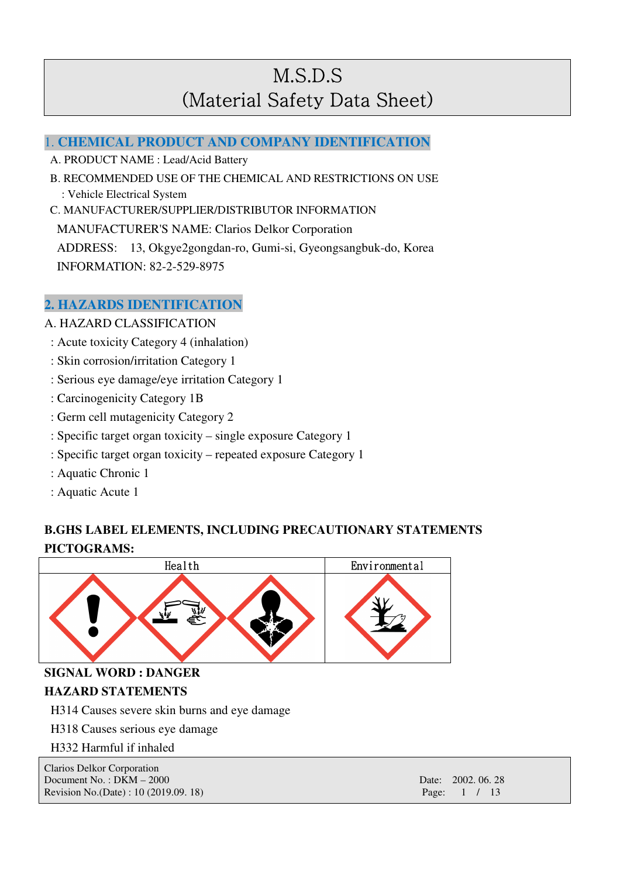### 1. **CHEMICAL PRODUCT AND COMPANY IDENTIFICATION**

A. PRODUCT NAME : Lead/Acid Battery

 B. RECOMMENDED USE OF THE CHEMICAL AND RESTRICTIONS ON USE : Vehicle Electrical System C. MANUFACTURER/SUPPLIER/DISTRIBUTOR INFORMATION

MANUFACTURER'S NAME: Clarios Delkor Corporation

ADDRESS: 13, Okgye2gongdan-ro, Gumi-si, Gyeongsangbuk-do, Korea INFORMATION: 82-2-529-8975

## **2. HAZARDS IDENTIFICATION**

- A. HAZARD CLASSIFICATION
	- : Acute toxicity Category 4 (inhalation)
- : Skin corrosion/irritation Category 1
- : Serious eye damage/eye irritation Category 1
- : Carcinogenicity Category 1B
- : Germ cell mutagenicity Category 2
- : Specific target organ toxicity single exposure Category 1
- : Specific target organ toxicity repeated exposure Category 1
- : Aquatic Chronic 1
- : Aquatic Acute 1

## **B.GHS LABEL ELEMENTS, INCLUDING PRECAUTIONARY STATEMENTS PICTOGRAMS:**



**SIGNAL WORD : DANGER** 

#### **HAZARD STATEMENTS**

H314 Causes severe skin burns and eye damage

H318 Causes serious eye damage

H332 Harmful if inhaled

| Clarios Delkor Corporation             |                    |
|----------------------------------------|--------------------|
| Document No.: $DKM - 2000$             | Date: 2002, 06, 28 |
| Revision No. (Date) : 10 (2019.09. 18) | Page: $1 / 13$     |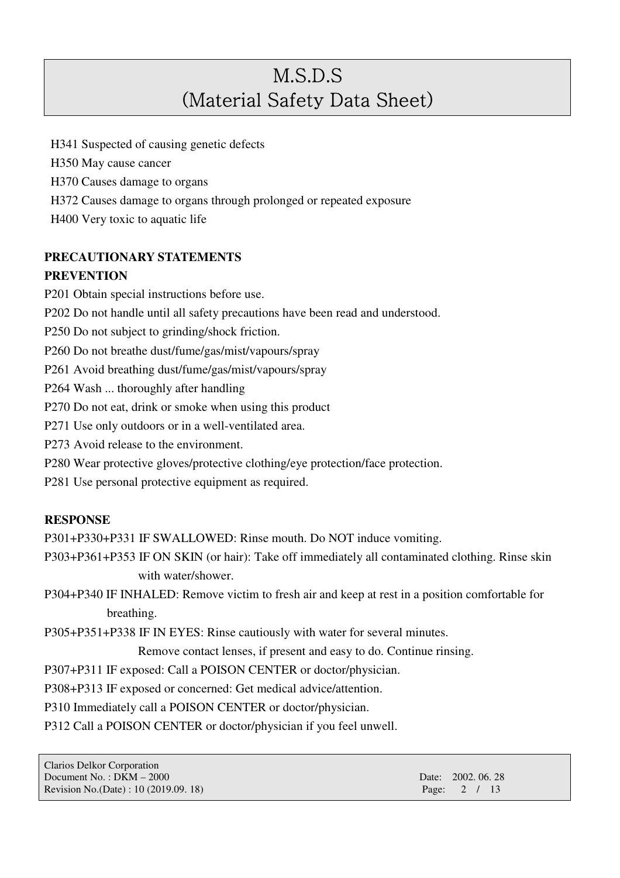H341 Suspected of causing genetic defects

H350 May cause cancer

H370 Causes damage to organs

H372 Causes damage to organs through prolonged or repeated exposure

H400 Very toxic to aquatic life

## **PRECAUTIONARY STATEMENTS**

### **PREVENTION**

P201 Obtain special instructions before use.

P202 Do not handle until all safety precautions have been read and understood.

P250 Do not subject to grinding/shock friction.

P260 Do not breathe dust/fume/gas/mist/vapours/spray

P261 Avoid breathing dust/fume/gas/mist/vapours/spray

P264 Wash ... thoroughly after handling

P270 Do not eat, drink or smoke when using this product

P271 Use only outdoors or in a well-ventilated area.

P273 Avoid release to the environment.

P280 Wear protective gloves/protective clothing/eye protection/face protection.

P281 Use personal protective equipment as required.

### **RESPONSE**

P301+P330+P331 IF SWALLOWED: Rinse mouth. Do NOT induce vomiting.

P303+P361+P353 IF ON SKIN (or hair): Take off immediately all contaminated clothing. Rinse skin with water/shower.

P304+P340 IF INHALED: Remove victim to fresh air and keep at rest in a position comfortable for breathing.

P305+P351+P338 IF IN EYES: Rinse cautiously with water for several minutes.

Remove contact lenses, if present and easy to do. Continue rinsing.

P307+P311 IF exposed: Call a POISON CENTER or doctor/physician.

P308+P313 IF exposed or concerned: Get medical advice/attention.

P310 Immediately call a POISON CENTER or doctor/physician.

P312 Call a POISON CENTER or doctor/physician if you feel unwell.

| <b>Clarios Delkor Corporation</b>      |  |
|----------------------------------------|--|
| Document No.: $DKM - 2000$             |  |
| Revision No. (Date) : 10 (2019.09. 18) |  |

Date: 2002. 06. 28 Page: 2 / 13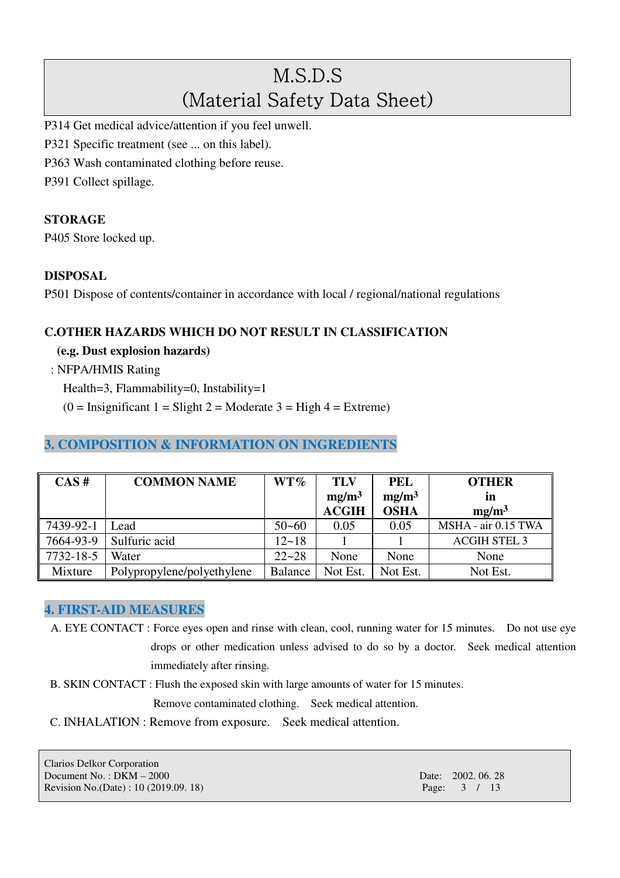P314 Get medical advice/attention if you feel unwell.

- P321 Specific treatment (see ... on this label).
- P363 Wash contaminated clothing before reuse.

P391 Collect spillage.

#### **STORAGE**

P405 Store locked up.

#### **DISPOSAL**

P501 Dispose of contents/container in accordance with local / regional/national regulations

#### **C.OTHER HAZARDS WHICH DO NOT RESULT IN CLASSIFICATION**

**(e.g. Dust explosion hazards)** 

: NFPA/HMIS Rating

Health=3, Flammability=0, Instability=1

 $(0 = \text{Insignificant 1} = \text{Slight 2} = \text{Modern} 3 = \text{High } 4 = \text{Extreme})$ 

### **3. COMPOSITION & INFORMATION ON INGREDIENTS**

| CAS#      | <b>COMMON NAME</b>         | $WT\%$         | <b>TLV</b><br>mg/m <sup>3</sup><br><b>ACGIH</b> | <b>PEL</b><br>mg/m <sup>3</sup><br><b>OSHA</b> | <b>OTHER</b><br>in<br>mg/m <sup>3</sup> |
|-----------|----------------------------|----------------|-------------------------------------------------|------------------------------------------------|-----------------------------------------|
| 7439-92-1 | Lead                       | $50 - 60$      | 0.05                                            | 0.05                                           | MSHA - air 0.15 TWA                     |
| 7664-93-9 | Sulfuric acid              | $12 - 18$      |                                                 |                                                | <b>ACGIH STEL 3</b>                     |
| 7732-18-5 | Water                      | $22 - 28$      | None                                            | None                                           | None                                    |
| Mixture   | Polypropylene/polyethylene | <b>Balance</b> | Not Est.                                        | Not Est.                                       | Not Est.                                |

#### **4. FIRST-AID MEASURES**

A. EYE CONTACT : Force eyes open and rinse with clean, cool, running water for 15 minutes. Do not use eye drops or other medication unless advised to do so by a doctor. Seek medical attention immediately after rinsing.

B. SKIN CONTACT : Flush the exposed skin with large amounts of water for 15 minutes.

Remove contaminated clothing. Seek medical attention.

C. INHALATION : Remove from exposure. Seek medical attention.

Clarios Delkor Corporation Document No. : DKM – 2000 Date: 2002. 06. 28 Revision No.(Date) : 10 (2019.09. 18) Page: 3 / 13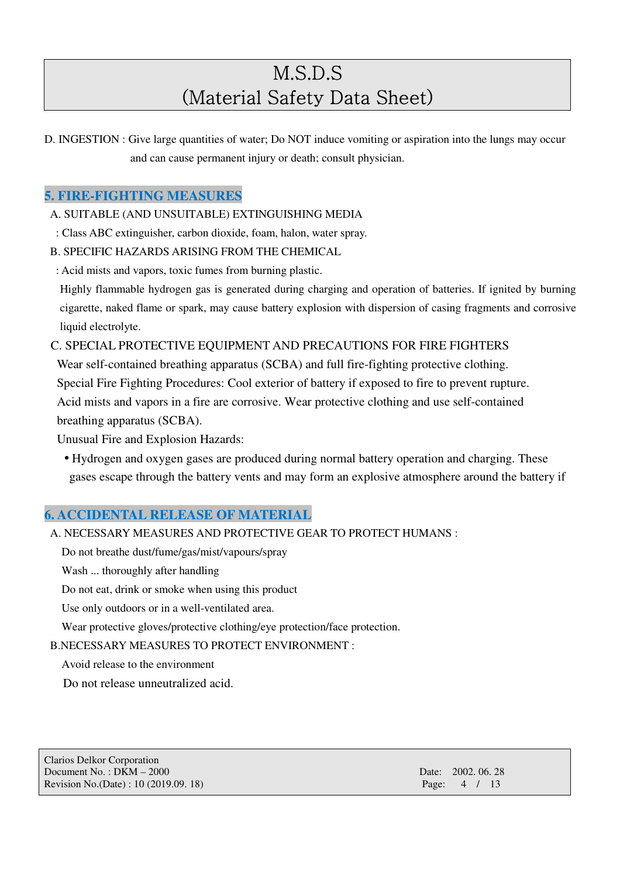D. INGESTION : Give large quantities of water; Do NOT induce vomiting or aspiration into the lungs may occur and can cause permanent injury or death; consult physician.

### **5. FIRE-FIGHTING MEASURES**

A. SUITABLE (AND UNSUITABLE) EXTINGUISHING MEDIA

- : Class ABC extinguisher, carbon dioxide, foam, halon, water spray.
- B. SPECIFIC HAZARDS ARISING FROM THE CHEMICAL
- : Acid mists and vapors, toxic fumes from burning plastic.

Highly flammable hydrogen gas is generated during charging and operation of batteries. If ignited by burning cigarette, naked flame or spark, may cause battery explosion with dispersion of casing fragments and corrosive liquid electrolyte.

C. SPECIAL PROTECTIVE EQUIPMENT AND PRECAUTIONS FOR FIRE FIGHTERS

Wear self-contained breathing apparatus (SCBA) and full fire-fighting protective clothing.

Special Fire Fighting Procedures: Cool exterior of battery if exposed to fire to prevent rupture.

Acid mists and vapors in a fire are corrosive. Wear protective clothing and use self-contained breathing apparatus (SCBA).

Unusual Fire and Explosion Hazards:

• Hydrogen and oxygen gases are produced during normal battery operation and charging. These gases escape through the battery vents and may form an explosive atmosphere around the battery if

## **6. ACCIDENTAL RELEASE OF MATERIAL**

A. NECESSARY MEASURES AND PROTECTIVE GEAR TO PROTECT HUMANS :

Do not breathe dust/fume/gas/mist/vapours/spray

Wash ... thoroughly after handling

Do not eat, drink or smoke when using this product

Use only outdoors or in a well-ventilated area.

Wear protective gloves/protective clothing/eye protection/face protection.

B.NECESSARY MEASURES TO PROTECT ENVIRONMENT :

Avoid release to the environment

Do not release unneutralized acid.

| Clarios Delkor Corporation             |                   |
|----------------------------------------|-------------------|
| Document No.: $DKM - 2000$             | Date: 2002, 06, 2 |
| Revision No. (Date) : 10 (2019.09. 18) | Page: 4 / 13      |

Date: 2002. 06. 28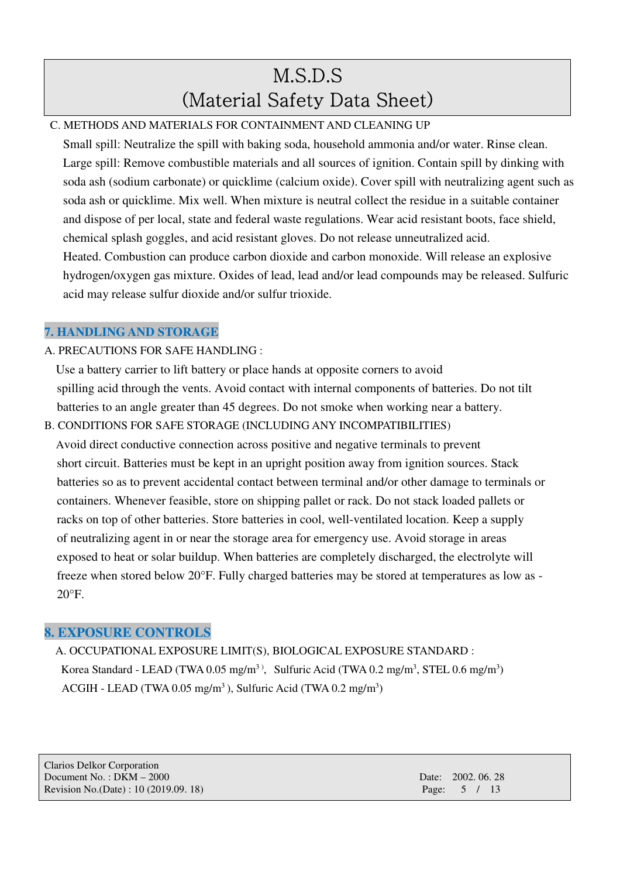## C. METHODS AND MATERIALS FOR CONTAINMENT AND CLEANING UP

Small spill: Neutralize the spill with baking soda, household ammonia and/or water. Rinse clean. Large spill: Remove combustible materials and all sources of ignition. Contain spill by dinking with soda ash (sodium carbonate) or quicklime (calcium oxide). Cover spill with neutralizing agent such as soda ash or quicklime. Mix well. When mixture is neutral collect the residue in a suitable container and dispose of per local, state and federal waste regulations. Wear acid resistant boots, face shield, chemical splash goggles, and acid resistant gloves. Do not release unneutralized acid. Heated. Combustion can produce carbon dioxide and carbon monoxide. Will release an explosive hydrogen/oxygen gas mixture. Oxides of lead, lead and/or lead compounds may be released. Sulfuric acid may release sulfur dioxide and/or sulfur trioxide.

## **7. HANDLING AND STORAGE**

### A. PRECAUTIONS FOR SAFE HANDLING :

Use a battery carrier to lift battery or place hands at opposite corners to avoid spilling acid through the vents. Avoid contact with internal components of batteries. Do not tilt batteries to an angle greater than 45 degrees. Do not smoke when working near a battery.

B. CONDITIONS FOR SAFE STORAGE (INCLUDING ANY INCOMPATIBILITIES) Avoid direct conductive connection across positive and negative terminals to prevent short circuit. Batteries must be kept in an upright position away from ignition sources. Stack batteries so as to prevent accidental contact between terminal and/or other damage to terminals or containers. Whenever feasible, store on shipping pallet or rack. Do not stack loaded pallets or racks on top of other batteries. Store batteries in cool, well-ventilated location. Keep a supply of neutralizing agent in or near the storage area for emergency use. Avoid storage in areas exposed to heat or solar buildup. When batteries are completely discharged, the electrolyte will freeze when stored below 20°F. Fully charged batteries may be stored at temperatures as low as -  $20^{\circ}$ F.

## **8. EXPOSURE CONTROLS**

A. OCCUPATIONAL EXPOSURE LIMIT(S), BIOLOGICAL EXPOSURE STANDARD : Korea Standard - LEAD (TWA 0.05 mg/m<sup>3)</sup>, Sulfuric Acid (TWA 0.2 mg/m<sup>3</sup>, STEL 0.6 mg/m<sup>3</sup>) ACGIH - LEAD (TWA  $0.05 \text{ mg/m}^3$ ), Sulfuric Acid (TWA  $0.2 \text{ mg/m}^3$ )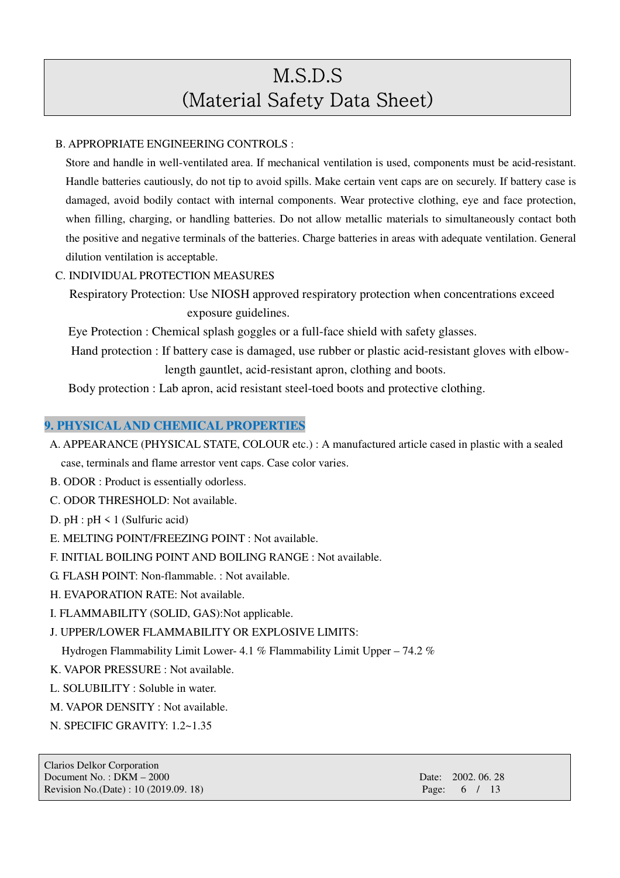#### B. APPROPRIATE ENGINEERING CONTROLS :

 Store and handle in well-ventilated area. If mechanical ventilation is used, components must be acid-resistant. Handle batteries cautiously, do not tip to avoid spills. Make certain vent caps are on securely. If battery case is damaged, avoid bodily contact with internal components. Wear protective clothing, eye and face protection, when filling, charging, or handling batteries. Do not allow metallic materials to simultaneously contact both the positive and negative terminals of the batteries. Charge batteries in areas with adequate ventilation. General dilution ventilation is acceptable.

#### C. INDIVIDUAL PROTECTION MEASURES

Respiratory Protection: Use NIOSH approved respiratory protection when concentrations exceed exposure guidelines.

Eye Protection : Chemical splash goggles or a full-face shield with safety glasses.

Hand protection : If battery case is damaged, use rubber or plastic acid-resistant gloves with elbowlength gauntlet, acid-resistant apron, clothing and boots.

Body protection : Lab apron, acid resistant steel-toed boots and protective clothing.

#### **9. PHYSICAL AND CHEMICAL PROPERTIES**

- A. APPEARANCE (PHYSICAL STATE, COLOUR etc.) : A manufactured article cased in plastic with a sealed case, terminals and flame arrestor vent caps. Case color varies.
- B. ODOR : Product is essentially odorless.
- C. ODOR THRESHOLD: Not available.
- D.  $pH : pH \le 1$  (Sulfuric acid)
- E. MELTING POINT/FREEZING POINT : Not available.
- F. INITIAL BOILING POINT AND BOILING RANGE : Not available.
- G. FLASH POINT: Non-flammable. : Not available.
- H. EVAPORATION RATE: Not available.
- I. FLAMMABILITY (SOLID, GAS):Not applicable.

#### J. UPPER/LOWER FLAMMABILITY OR EXPLOSIVE LIMITS:

Hydrogen Flammability Limit Lower- 4.1 % Flammability Limit Upper – 74.2 %

- K. VAPOR PRESSURE : Not available.
- L. SOLUBILITY : Soluble in water.
- M. VAPOR DENSITY : Not available.
- N. SPECIFIC GRAVITY: 1.2~1.35

Clarios Delkor Corporation Document No. : DKM – 2000 Date: 2002. 06. 28 Revision No.(Date) : 10 (2019.09. 18) Page: 6 / 13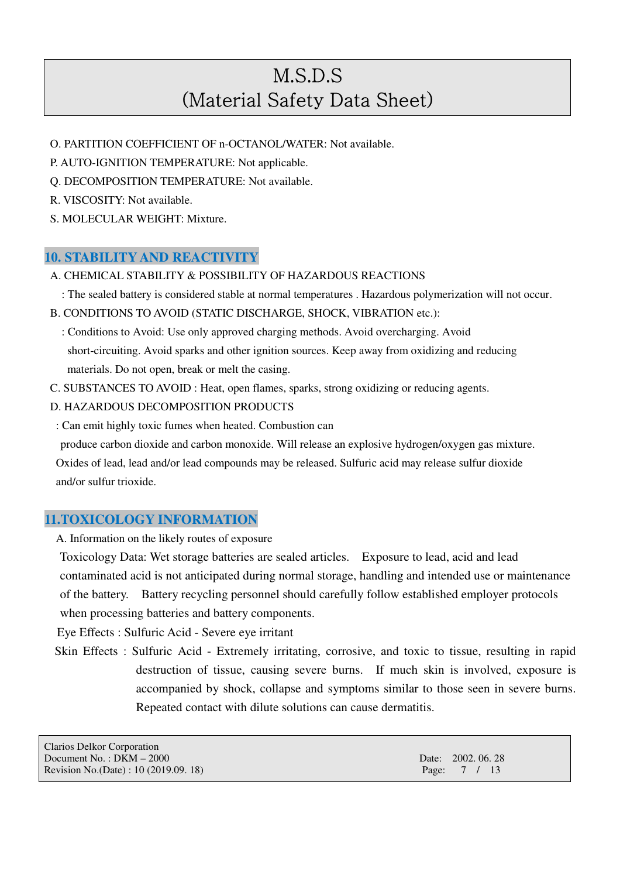- O. PARTITION COEFFICIENT OF n-OCTANOL/WATER: Not available.
- P. AUTO-IGNITION TEMPERATURE: Not applicable.
- Q. DECOMPOSITION TEMPERATURE: Not available.
- R. VISCOSITY: Not available.
- S. MOLECULAR WEIGHT: Mixture.

### **10. STABILITY AND REACTIVITY**

- A. CHEMICAL STABILITY & POSSIBILITY OF HAZARDOUS REACTIONS
	- : The sealed battery is considered stable at normal temperatures . Hazardous polymerization will not occur.
- B. CONDITIONS TO AVOID (STATIC DISCHARGE, SHOCK, VIBRATION etc.):
	- : Conditions to Avoid: Use only approved charging methods. Avoid overcharging. Avoid short-circuiting. Avoid sparks and other ignition sources. Keep away from oxidizing and reducing materials. Do not open, break or melt the casing.
- C. SUBSTANCES TO AVOID : Heat, open flames, sparks, strong oxidizing or reducing agents.
- D. HAZARDOUS DECOMPOSITION PRODUCTS
- : Can emit highly toxic fumes when heated. Combustion can

produce carbon dioxide and carbon monoxide. Will release an explosive hydrogen/oxygen gas mixture. Oxides of lead, lead and/or lead compounds may be released. Sulfuric acid may release sulfur dioxide and/or sulfur trioxide.

## **11.TOXICOLOGY INFORMATION**

A. Information on the likely routes of exposure

Toxicology Data: Wet storage batteries are sealed articles. Exposure to lead, acid and lead contaminated acid is not anticipated during normal storage, handling and intended use or maintenance of the battery. Battery recycling personnel should carefully follow established employer protocols when processing batteries and battery components.

Eye Effects : Sulfuric Acid - Severe eye irritant

Skin Effects : Sulfuric Acid - Extremely irritating, corrosive, and toxic to tissue, resulting in rapid destruction of tissue, causing severe burns. If much skin is involved, exposure is accompanied by shock, collapse and symptoms similar to those seen in severe burns. Repeated contact with dilute solutions can cause dermatitis.

| Clarios Delkor Corporation            |                    |
|---------------------------------------|--------------------|
| Document No.: $DKM - 2000$            | Date: 2002, 06, 28 |
| Revision No.(Date) : 10 (2019.09. 18) | Page: 7 / 13       |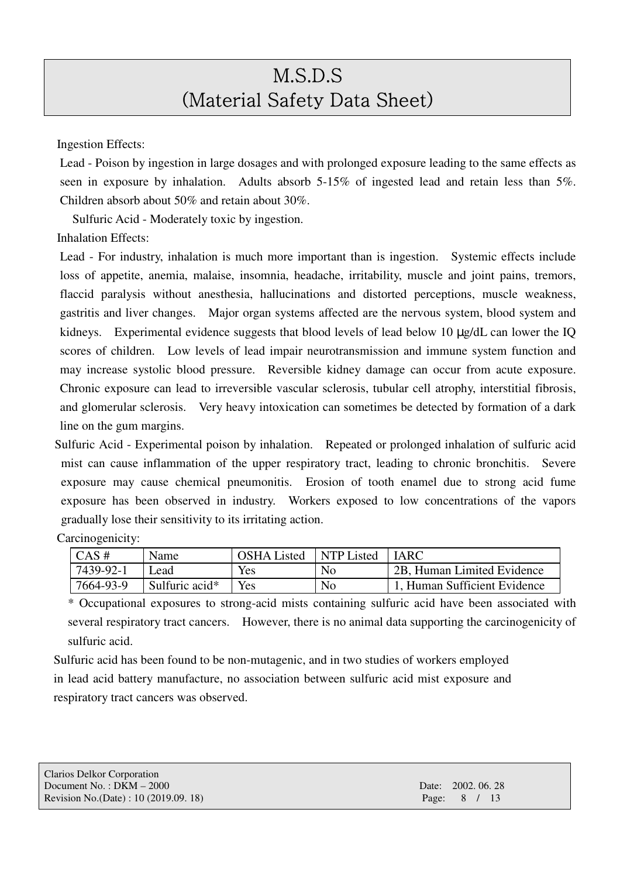Ingestion Effects:

Lead - Poison by ingestion in large dosages and with prolonged exposure leading to the same effects as seen in exposure by inhalation. Adults absorb 5-15% of ingested lead and retain less than 5%. Children absorb about 50% and retain about 30%.

Sulfuric Acid - Moderately toxic by ingestion.

Inhalation Effects:

Carcinogenicity:

Lead - For industry, inhalation is much more important than is ingestion. Systemic effects include loss of appetite, anemia, malaise, insomnia, headache, irritability, muscle and joint pains, tremors, flaccid paralysis without anesthesia, hallucinations and distorted perceptions, muscle weakness, gastritis and liver changes. Major organ systems affected are the nervous system, blood system and kidneys. Experimental evidence suggests that blood levels of lead below 10 µg/dL can lower the IQ scores of children. Low levels of lead impair neurotransmission and immune system function and may increase systolic blood pressure. Reversible kidney damage can occur from acute exposure. Chronic exposure can lead to irreversible vascular sclerosis, tubular cell atrophy, interstitial fibrosis, and glomerular sclerosis. Very heavy intoxication can sometimes be detected by formation of a dark line on the gum margins.

Sulfuric Acid - Experimental poison by inhalation. Repeated or prolonged inhalation of sulfuric acid mist can cause inflammation of the upper respiratory tract, leading to chronic bronchitis. Severe exposure may cause chemical pneumonitis. Erosion of tooth enamel due to strong acid fume exposure has been observed in industry. Workers exposed to low concentrations of the vapors gradually lose their sensitivity to its irritating action.

| $\overline{CAS}$ # | Name           | <b>OSHA</b> Listed | NTP Listed | LIARC.                                  |
|--------------------|----------------|--------------------|------------|-----------------------------------------|
| 7439-92-1          | _ead           | Yes                | No         | <sup>1</sup> 2B, Human Limited Evidence |
| 7664-93-9          | Sulfuric acid* | Yes                | No         | 1, Human Sufficient Evidence            |

\* Occupational exposures to strong-acid mists containing sulfuric acid have been associated with several respiratory tract cancers. However, there is no animal data supporting the carcinogenicity of sulfuric acid.

Sulfuric acid has been found to be non-mutagenic, and in two studies of workers employed in lead acid battery manufacture, no association between sulfuric acid mist exposure and respiratory tract cancers was observed.

| <b>Clarios Delkor Corporation</b>     |                    |
|---------------------------------------|--------------------|
| Document No.: $DKM - 2000$            | Date: 2002, 06, 28 |
| Revision No.(Date) : 10 (2019.09. 18) | Page: 8 / 13       |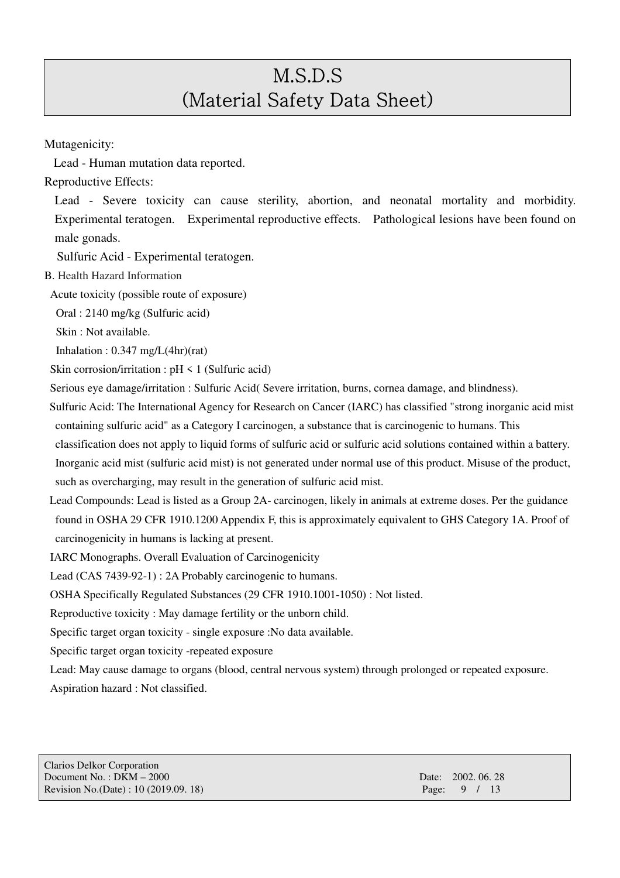Mutagenicity:

Lead - Human mutation data reported.

Reproductive Effects:

Lead - Severe toxicity can cause sterility, abortion, and neonatal mortality and morbidity. Experimental teratogen. Experimental reproductive effects. Pathological lesions have been found on male gonads.

Sulfuric Acid - Experimental teratogen.

B. Health Hazard Information

Acute toxicity (possible route of exposure)

Oral : 2140 mg/kg (Sulfuric acid)

Skin : Not available.

Inhalation :  $0.347 \text{ mg/L}(4\text{hr})(\text{rat})$ 

Skin corrosion/irritation :  $pH \le 1$  (Sulfuric acid)

Serious eye damage/irritation : Sulfuric Acid( Severe irritation, burns, cornea damage, and blindness).

Sulfuric Acid: The International Agency for Research on Cancer (IARC) has classified "strong inorganic acid mist containing sulfuric acid" as a Category I carcinogen, a substance that is carcinogenic to humans. This classification does not apply to liquid forms of sulfuric acid or sulfuric acid solutions contained within a battery. Inorganic acid mist (sulfuric acid mist) is not generated under normal use of this product. Misuse of the product, such as overcharging, may result in the generation of sulfuric acid mist.

Lead Compounds: Lead is listed as a Group 2A- carcinogen, likely in animals at extreme doses. Per the guidance found in OSHA 29 CFR 1910.1200 Appendix F, this is approximately equivalent to GHS Category 1A. Proof of carcinogenicity in humans is lacking at present.

IARC Monographs. Overall Evaluation of Carcinogenicity

Lead (CAS 7439-92-1) : 2A Probably carcinogenic to humans.

OSHA Specifically Regulated Substances (29 CFR 1910.1001-1050) : Not listed.

Reproductive toxicity : May damage fertility or the unborn child.

Specific target organ toxicity - single exposure :No data available.

Specific target organ toxicity -repeated exposure

Lead: May cause damage to organs (blood, central nervous system) through prolonged or repeated exposure. Aspiration hazard : Not classified.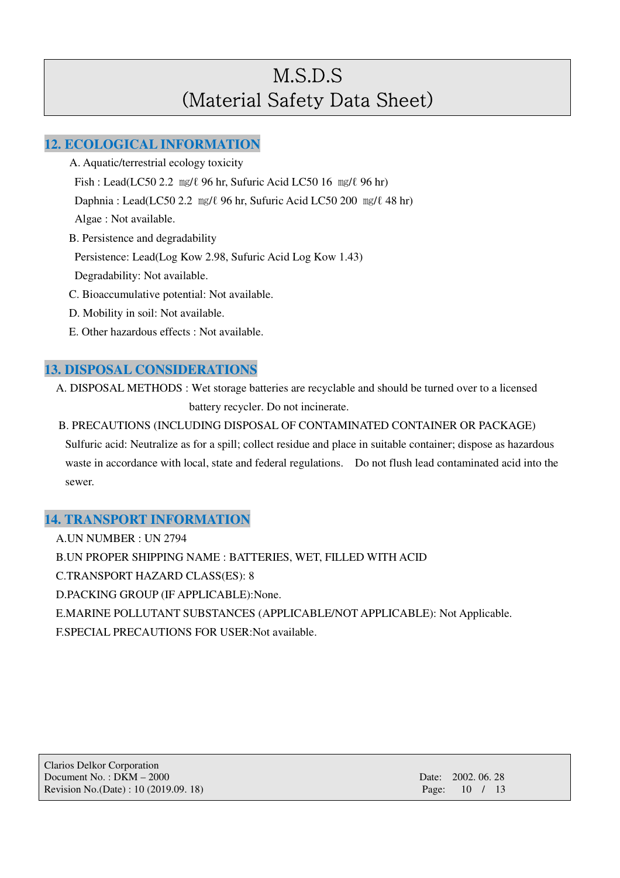### **12. ECOLOGICAL INFORMATION**

- A. Aquatic/terrestrial ecology toxicity Fish : Lead(LC50 2.2 ㎎/ℓ 96 hr, Sufuric Acid LC50 16 ㎎/ℓ 96 hr) Daphnia : Lead(LC50 2.2 ㎎/ℓ 96 hr, Sufuric Acid LC50 200 ㎎/ℓ 48 hr) Algae : Not available. B. Persistence and degradability Persistence: Lead(Log Kow 2.98, Sufuric Acid Log Kow 1.43) Degradability: Not available. C. Bioaccumulative potential: Not available. D. Mobility in soil: Not available.
- E. Other hazardous effects : Not available.

### **13. DISPOSAL CONSIDERATIONS**

A. DISPOSAL METHODS : Wet storage batteries are recyclable and should be turned over to a licensed battery recycler. Do not incinerate.

B. PRECAUTIONS (INCLUDING DISPOSAL OF CONTAMINATED CONTAINER OR PACKAGE) Sulfuric acid: Neutralize as for a spill; collect residue and place in suitable container; dispose as hazardous waste in accordance with local, state and federal regulations. Do not flush lead contaminated acid into the sewer.

### **14. TRANSPORT INFORMATION**

A.UN NUMBER : UN 2794

B.UN PROPER SHIPPING NAME : BATTERIES, WET, FILLED WITH ACID

C.TRANSPORT HAZARD CLASS(ES): 8

D.PACKING GROUP (IF APPLICABLE):None.

E.MARINE POLLUTANT SUBSTANCES (APPLICABLE/NOT APPLICABLE): Not Applicable.

F.SPECIAL PRECAUTIONS FOR USER:Not available.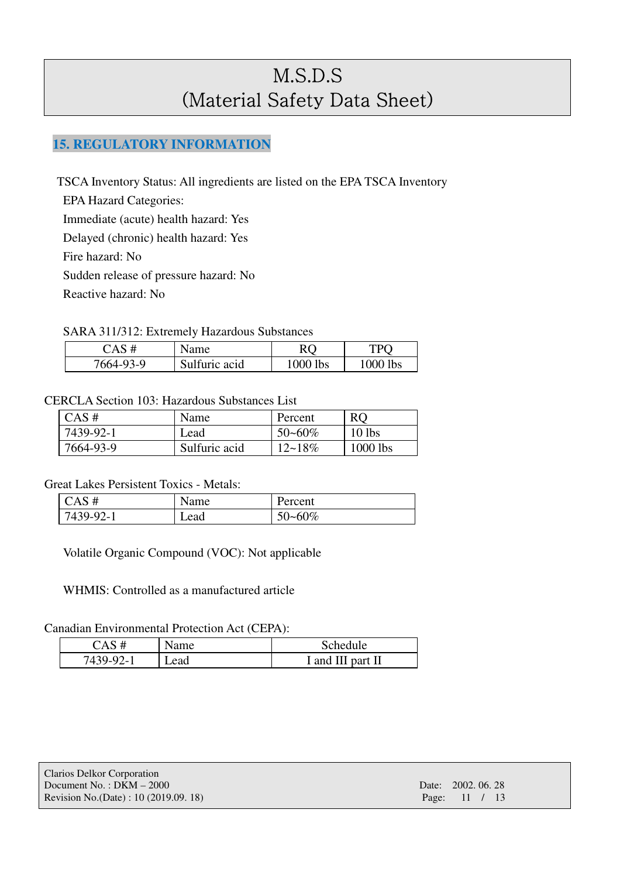## **15. REGULATORY INFORMATION**

TSCA Inventory Status: All ingredients are listed on the EPA TSCA Inventory

EPA Hazard Categories:

Immediate (acute) health hazard: Yes

Delayed (chronic) health hazard: Yes

Fire hazard: No

Sudden release of pressure hazard: No

Reactive hazard: No

#### SARA 311/312: Extremely Hazardous Substances

| CAS#      | Name          |          | TPO      |
|-----------|---------------|----------|----------|
| 7664-93-9 | Sulfuric acid | 1000 lbs | 1000 lbs |

#### CERCLA Section 103: Hazardous Substances List

| $CAS \#$  | Name          | Percent     | <b>RO</b>  |
|-----------|---------------|-------------|------------|
| 7439-92-1 | Lead          | $50 - 60\%$ | $10$ lbs   |
| 7664-93-9 | Sulfuric acid | $12 - 18\%$ | $1000$ lbs |

#### Great Lakes Persistent Toxics - Metals:

| CAS#      | Name | Percent     |
|-----------|------|-------------|
| 7439-92-1 | Lead | $50 - 60\%$ |

Volatile Organic Compound (VOC): Not applicable

WHMIS: Controlled as a manufactured article

#### Canadian Environmental Protection Act (CEPA):

| $\mathbb{C}\mathrm{AS}^-$ | Name | Schedule          |
|---------------------------|------|-------------------|
| 7439-92-1                 | Lead | I and III part II |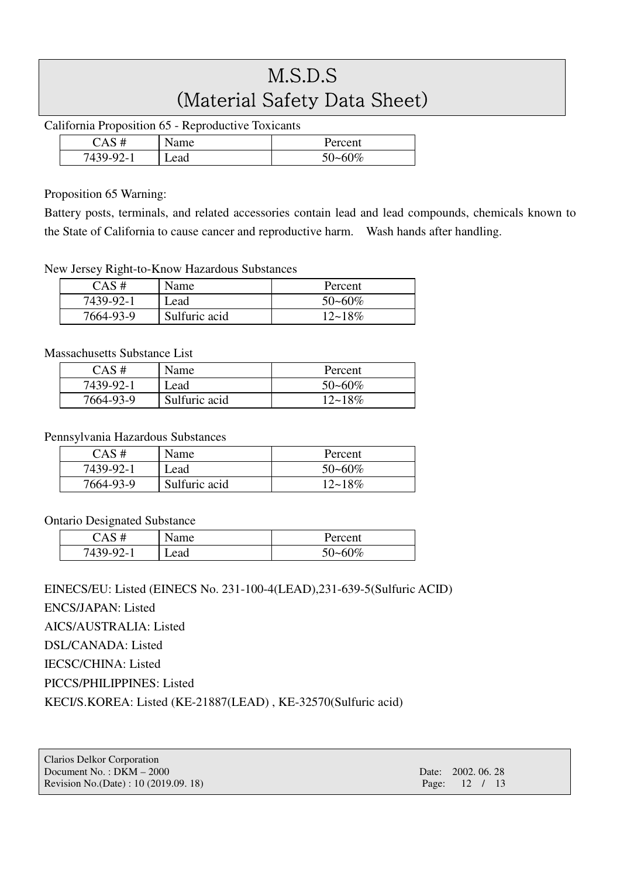California Proposition 65 - Reproductive Toxicants

| Δ                     | Name | Percent |
|-----------------------|------|---------|
| $7439 - 2$<br>$2 - 1$ | Lead | 50~60%  |

#### Proposition 65 Warning:

Battery posts, terminals, and related accessories contain lead and lead compounds, chemicals known to the State of California to cause cancer and reproductive harm. Wash hands after handling.

#### New Jersey Right-to-Know Hazardous Substances

| CAS#      | Name          | Percent     |
|-----------|---------------|-------------|
| 7439-92-1 | Lead          | $50 - 60\%$ |
| 7664-93-9 | Sulfuric acid | $12 - 18\%$ |

#### Massachusetts Substance List

| $CAS \#$  | Name          | Percent     |
|-----------|---------------|-------------|
| 7439-92-1 | Lead          | $50 - 60\%$ |
| 7664-93-9 | Sulfuric acid | $12 - 18\%$ |

#### Pennsylvania Hazardous Substances

| $CAS \#$  | Name          | Percent     |
|-----------|---------------|-------------|
| 7439-92-1 | Lead          | $50 - 60\%$ |
| 7664-93-9 | Sulfuric acid | $12 - 18\%$ |

#### Ontario Designated Substance

|           | vame | Percent     |
|-----------|------|-------------|
| $7439-92$ | Lead | $50 - 60\%$ |

### EINECS/EU: Listed (EINECS No. 231-100-4(LEAD),231-639-5(Sulfuric ACID)

ENCS/JAPAN: Listed

AICS/AUSTRALIA: Listed

DSL/CANADA: Listed

IECSC/CHINA: Listed

PICCS/PHILIPPINES: Listed

KECI/S.KOREA: Listed (KE-21887(LEAD) , KE-32570(Sulfuric acid)

| <b>Clarios Delkor Corporation</b>      |                    |  |  |
|----------------------------------------|--------------------|--|--|
| Document No.: $DKM - 2000$             | Date: 2002, 06, 28 |  |  |
| Revision No. (Date) : 10 (2019.09. 18) | Page: 12 / 13      |  |  |